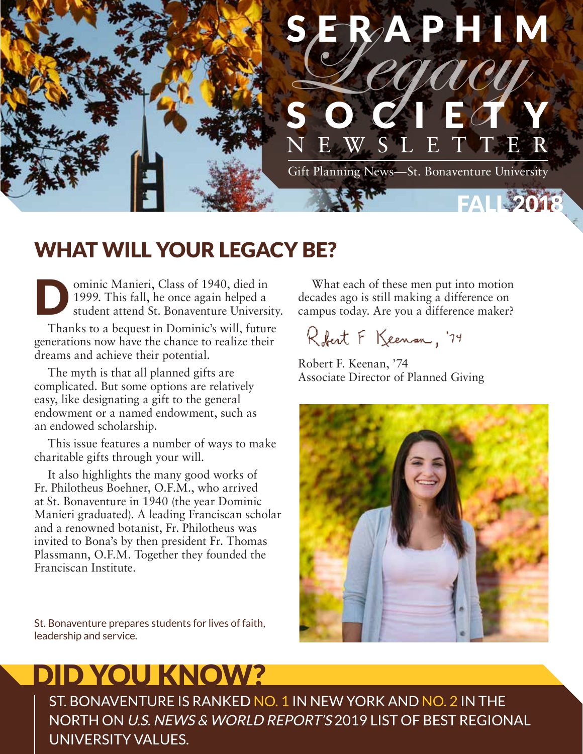

## WHAT WILL YOUR LEGACY BE?

Ominic Manieri, Class of 1940, died in 1999. This fall, he once again helped a student attend St. Bonaventure Universi 1999. This fall, he once again helped a student attend St. Bonaventure University.

Thanks to a bequest in Dominic's will, future generations now have the chance to realize their dreams and achieve their potential.

The myth is that all planned gifts are complicated. But some options are relatively easy, like designating a gift to the general endowment or a named endowment, such as an endowed scholarship.

This issue features a number of ways to make charitable gifts through your will.

It also highlights the many good works of Fr. Philotheus Boehner, O.F.M., who arrived at St. Bonaventure in 1940 (the year Dominic Manieri graduated). A leading Franciscan scholar and a renowned botanist, Fr. Philotheus was invited to Bona's by then president Fr. Thomas Plassmann, O.F.M. Together they founded the Franciscan Institute.

St. Bonaventure prepares students for lives of faith, leadership and service.

# DID YOU KNOW?

ST. BONAVENTURE IS RANKED NO. 1 IN NEW YORK AND NO. 2 IN THE NORTH ON U.S. NEWS & WORLD REPORT'S 2019 LIST OF BEST REGIONAL UNIVERSITY VALUES.

What each of these men put into motion decades ago is still making a difference on campus today. Are you a difference maker?

Robert F Keenan, '74

Robert F. Keenan, '74 Associate Director of Planned Giving

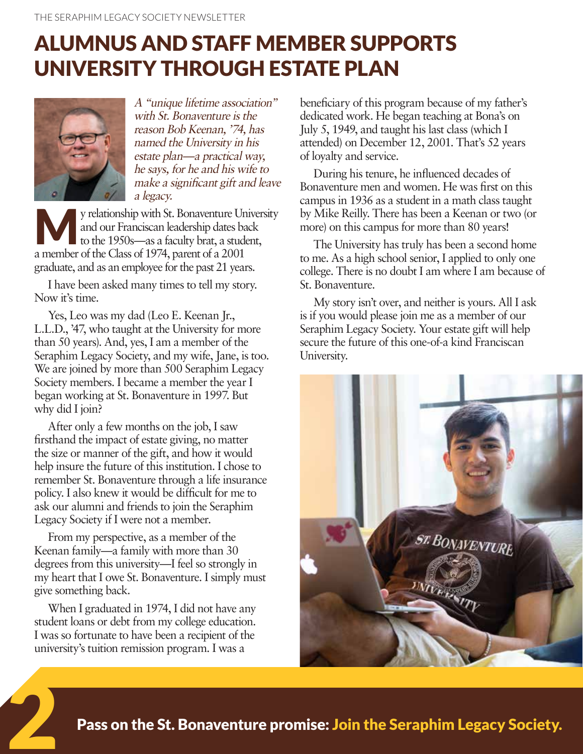## ALUMNUS AND STAFF MEMBER SUPPORTS UNIVERSITY THROUGH ESTATE PLAN



A "unique lifetime association" with St. Bonaventure is the reason Bob Keenan, '74, has named the University in his estate plan—a practical way, he says, for he and his wife to make a significant gift and leave a legacy.

y relationship with St. Bonaventure University and our Franciscan leadership dates back to the 1950s—as a faculty brat, a student, a member of the Class of 1974, parent of a 2001 graduate, and as an employee for the past 21 years.

I have been asked many times to tell my story. Now it's time.

Yes, Leo was my dad (Leo E. Keenan Jr., L.L.D., '47, who taught at the University for more than 50 years). And, yes, I am a member of the Seraphim Legacy Society, and my wife, Jane, is too. We are joined by more than 500 Seraphim Legacy Society members. I became a member the year I began working at St. Bonaventure in 1997. But why did I join?

After only a few months on the job, I saw firsthand the impact of estate giving, no matter the size or manner of the gift, and how it would help insure the future of this institution. I chose to remember St. Bonaventure through a life insurance policy. I also knew it would be difficult for me to ask our alumni and friends to join the Seraphim Legacy Society if I were not a member.

From my perspective, as a member of the Keenan family—a family with more than 30 degrees from this university—I feel so strongly in my heart that I owe St. Bonaventure. I simply must give something back.

When I graduated in 1974, I did not have any student loans or debt from my college education. I was so fortunate to have been a recipient of the university's tuition remission program. I was a

2

beneficiary of this program because of my father's dedicated work. He began teaching at Bona's on July 5, 1949, and taught his last class (which I attended) on December 12, 2001. That's 52 years of loyalty and service.

During his tenure, he influenced decades of Bonaventure men and women. He was first on this campus in 1936 as a student in a math class taught by Mike Reilly. There has been a Keenan or two (or more) on this campus for more than 80 years!

The University has truly has been a second home to me. As a high school senior, I applied to only one college. There is no doubt I am where I am because of St. Bonaventure.

My story isn't over, and neither is yours. All I ask is if you would please join me as a member of our Seraphim Legacy Society. Your estate gift will help secure the future of this one-of-a kind Franciscan University.



Pass on the St. Bonaventure promise: Join the Seraphim Legacy Society.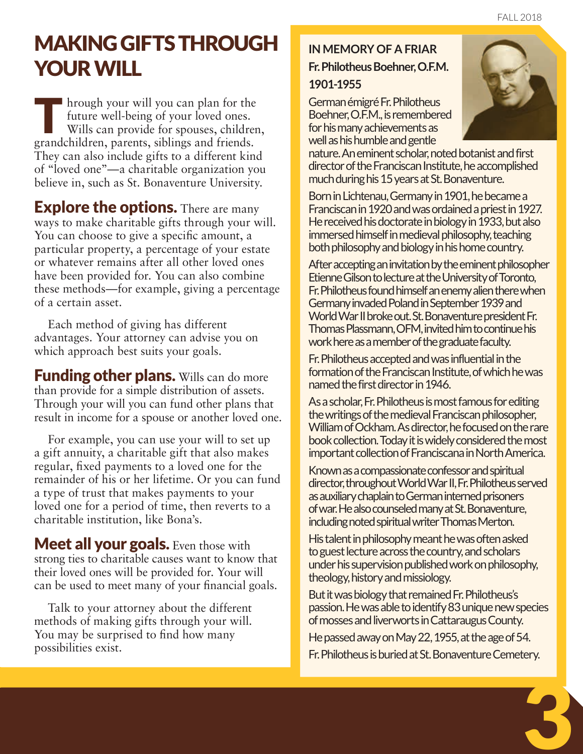## MAKING GIFTS THROUGH YOUR WILL

If hrough your will you can plan for the future well-being of your loved ones. Wills can provide for spouses, children, grandchildren, parents, siblings and friends. They can also include gifts to a different kind of "loved one"—a charitable organization you believe in, such as St. Bonaventure University.

**Explore the options.** There are many ways to make charitable gifts through your will. You can choose to give a specific amount, a particular property, a percentage of your estate or whatever remains after all other loved ones have been provided for. You can also combine these methods—for example, giving a percentage of a certain asset.

Each method of giving has different advantages. Your attorney can advise you on which approach best suits your goals.

**Funding other plans.** Wills can do more than provide for a simple distribution of assets. Through your will you can fund other plans that result in income for a spouse or another loved one.

For example, you can use your will to set up a gift annuity, a charitable gift that also makes regular, fixed payments to a loved one for the remainder of his or her lifetime. Or you can fund a type of trust that makes payments to your loved one for a period of time, then reverts to a charitable institution, like Bona's.

**Meet all your goals.** Even those with strong ties to charitable causes want to know that their loved ones will be provided for. Your will can be used to meet many of your financial goals.

Talk to your attorney about the different methods of making gifts through your will. You may be surprised to find how many possibilities exist.

### **IN MEMORY OF A FRIAR Fr. Philotheus Boehner, O.F.M.**

#### **1901-1955**

German émigré Fr. Philotheus Boehner, O.F.M., is remembered for his many achievements as well as his humble and gentle



nature. An eminent scholar, noted botanist and first director of the Franciscan Institute, he accomplished much during his 15 years at St. Bonaventure.

Born in Lichtenau, Germany in 1901, he became a Franciscan in 1920 and was ordained a priest in 1927. He received his doctorate in biology in 1933, but also immersed himself in medieval philosophy, teaching both philosophy and biology in his home country.

After accepting an invitation by the eminent philosopher Etienne Gilson to lecture at the University of Toronto, Fr. Philotheus found himself an enemy alien there when Germany invaded Poland in September 1939 and World War II broke out. St. Bonaventure president Fr. Thomas Plassmann, OFM, invited him to continue his work here as a member of the graduate faculty.

Fr. Philotheus accepted and was influential in the formation of the Franciscan Institute, of which he was named the first director in 1946.

As a scholar, Fr. Philotheus is most famous for editing the writings of the medieval Franciscan philosopher, William of Ockham. As director, he focused on the rare book collection. Today it is widely considered the most important collection of Franciscana in North America.

Known as a compassionate confessor and spiritual director, throughout World War II, Fr. Philotheus served as auxiliary chaplain to German interned prisoners of war. He also counseled many at St. Bonaventure, including noted spiritual writer Thomas Merton.

His talent in philosophy meant he was often asked to guest lecture across the country, and scholars under his supervision published work on philosophy, theology, history and missiology.

But it was biology that remained Fr. Philotheus's passion. He was able to identify 83 unique new species of mosses and liverworts in Cattaraugus County. He passed away on May 22, 1955, at the age of 54.

Fr. Philotheus is buried at St. Bonaventure Cemetery.

3